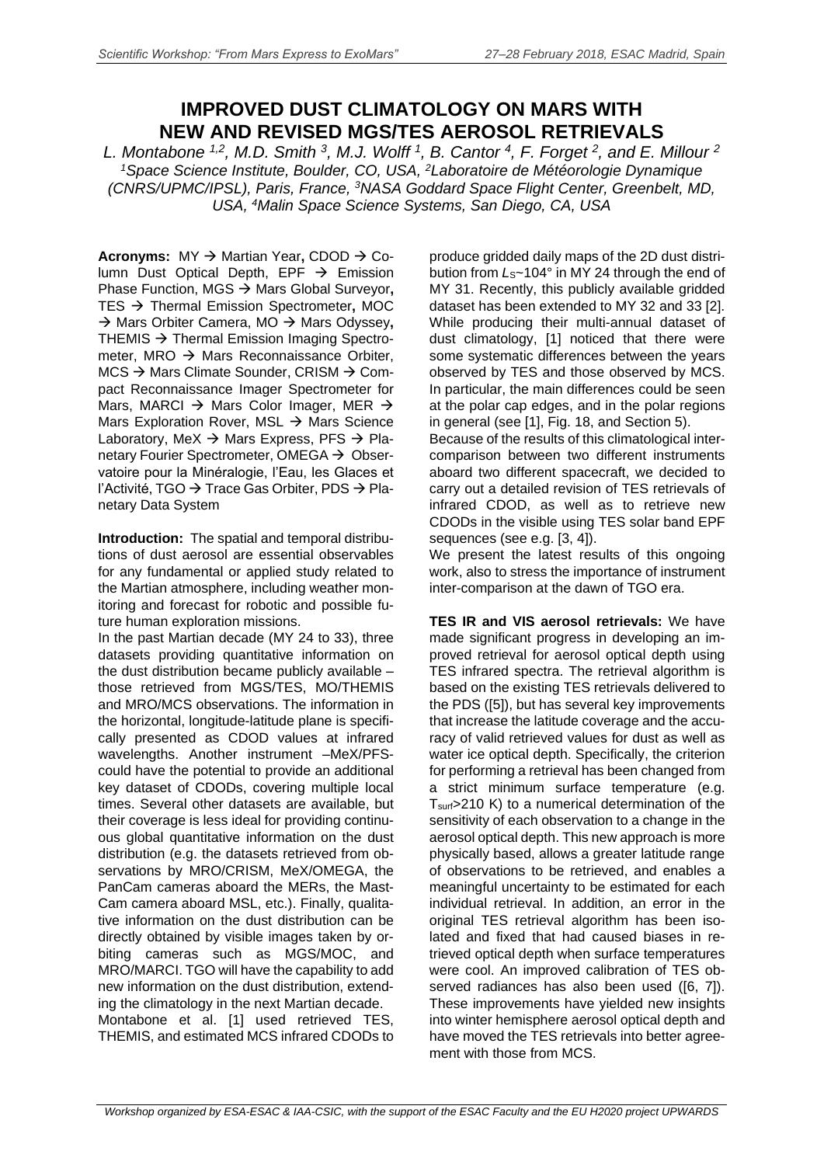## **IMPROVED DUST CLIMATOLOGY ON MARS WITH NEW AND REVISED MGS/TES AEROSOL RETRIEVALS**

*L. Montabone 1,2, M.D. Smith <sup>3</sup> , M.J. Wolff <sup>1</sup> , B. Cantor <sup>4</sup> , F. Forget 2 , and E. Millour 2 <sup>1</sup>Space Science Institute, Boulder, CO, USA, <sup>2</sup>Laboratoire de Météorologie Dynamique (CNRS/UPMC/IPSL), Paris, France, <sup>3</sup>NASA Goddard Space Flight Center, Greenbelt, MD, USA, <sup>4</sup>Malin Space Science Systems, San Diego, CA, USA*

**Acronyms:** MY → Martian Year, CDOD → Column Dust Optical Depth, EPF  $\rightarrow$  Emission Phase Function, MGS → Mars Global Surveyor, TES Thermal Emission Spectrometer**,** MOC → Mars Orbiter Camera, MO → Mars Odyssey, THEMIS  $\rightarrow$  Thermal Emission Imaging Spectrometer, MRO  $\rightarrow$  Mars Reconnaissance Orbiter,  $MCS \rightarrow$  Mars Climate Sounder, CRISM  $\rightarrow$  Compact Reconnaissance Imager Spectrometer for Mars, MARCI  $\rightarrow$  Mars Color Imager, MER  $\rightarrow$ Mars Exploration Rover, MSL  $\rightarrow$  Mars Science Laboratory, MeX  $\rightarrow$  Mars Express, PFS  $\rightarrow$  Planetary Fourier Spectrometer, OMEGA  $\rightarrow$  Observatoire pour la Minéralogie, l'Eau, les Glaces et l'Activité, TGO  $\rightarrow$  Trace Gas Orbiter, PDS  $\rightarrow$  Planetary Data System

**Introduction:** The spatial and temporal distributions of dust aerosol are essential observables for any fundamental or applied study related to the Martian atmosphere, including weather monitoring and forecast for robotic and possible future human exploration missions.

In the past Martian decade (MY 24 to 33), three datasets providing quantitative information on the dust distribution became publicly available – those retrieved from MGS/TES, MO/THEMIS and MRO/MCS observations. The information in the horizontal, longitude-latitude plane is specifically presented as CDOD values at infrared wavelengths. Another instrument –MeX/PFScould have the potential to provide an additional key dataset of CDODs, covering multiple local times. Several other datasets are available, but their coverage is less ideal for providing continuous global quantitative information on the dust distribution (e.g. the datasets retrieved from observations by MRO/CRISM, MeX/OMEGA, the PanCam cameras aboard the MERs, the Mast-Cam camera aboard MSL, etc.). Finally, qualitative information on the dust distribution can be directly obtained by visible images taken by orbiting cameras such as MGS/MOC, and MRO/MARCI. TGO will have the capability to add new information on the dust distribution, extending the climatology in the next Martian decade. Montabone et al. [1] used retrieved TES, THEMIS, and estimated MCS infrared CDODs to

produce gridded daily maps of the 2D dust distribution from  $L<sub>S</sub>$ ~104° in MY 24 through the end of MY 31. Recently, this publicly available gridded dataset has been extended to MY 32 and 33 [2]. While producing their multi-annual dataset of dust climatology, [1] noticed that there were some systematic differences between the years observed by TES and those observed by MCS. In particular, the main differences could be seen at the polar cap edges, and in the polar regions in general (see [1], Fig. 18, and Section 5).

Because of the results of this climatological intercomparison between two different instruments aboard two different spacecraft, we decided to carry out a detailed revision of TES retrievals of infrared CDOD, as well as to retrieve new CDODs in the visible using TES solar band EPF sequences (see e.g. [3, 4]).

We present the latest results of this ongoing work, also to stress the importance of instrument inter-comparison at the dawn of TGO era.

**TES IR and VIS aerosol retrievals:** We have made significant progress in developing an improved retrieval for aerosol optical depth using TES infrared spectra. The retrieval algorithm is based on the existing TES retrievals delivered to the PDS ([5]), but has several key improvements that increase the latitude coverage and the accuracy of valid retrieved values for dust as well as water ice optical depth. Specifically, the criterion for performing a retrieval has been changed from a strict minimum surface temperature (e.g. Tsurf>210 K) to a numerical determination of the sensitivity of each observation to a change in the aerosol optical depth. This new approach is more physically based, allows a greater latitude range of observations to be retrieved, and enables a meaningful uncertainty to be estimated for each individual retrieval. In addition, an error in the original TES retrieval algorithm has been isolated and fixed that had caused biases in retrieved optical depth when surface temperatures were cool. An improved calibration of TES observed radiances has also been used ([6, 7]). These improvements have yielded new insights into winter hemisphere aerosol optical depth and have moved the TES retrievals into better agreement with those from MCS.

*Workshop organized by ESA-ESAC & IAA-CSIC, with the support of the ESAC Faculty and the EU H2020 project UPWARDS*